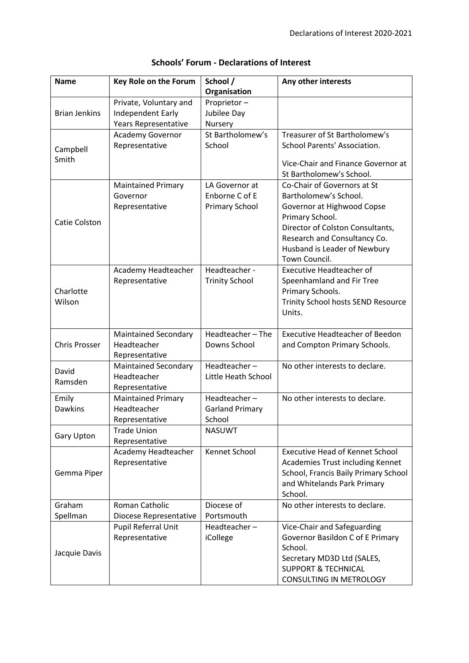| <b>Name</b>          | Key Role on the Forum       | School /               | Any other interests                    |
|----------------------|-----------------------------|------------------------|----------------------------------------|
|                      |                             | Organisation           |                                        |
|                      | Private, Voluntary and      | Proprietor-            |                                        |
| <b>Brian Jenkins</b> | Independent Early           | Jubilee Day            |                                        |
|                      | Years Representative        | Nursery                |                                        |
|                      | Academy Governor            | St Bartholomew's       | Treasurer of St Bartholomew's          |
|                      | Representative              | School                 | School Parents' Association.           |
| Campbell             |                             |                        |                                        |
| Smith                |                             |                        | Vice-Chair and Finance Governor at     |
|                      |                             |                        | St Bartholomew's School.               |
|                      | <b>Maintained Primary</b>   | LA Governor at         | Co-Chair of Governors at St            |
|                      | Governor                    | Enborne C of E         | Bartholomew's School.                  |
|                      | Representative              | <b>Primary School</b>  | Governor at Highwood Copse             |
|                      |                             |                        | Primary School.                        |
| Catie Colston        |                             |                        | Director of Colston Consultants,       |
|                      |                             |                        | Research and Consultancy Co.           |
|                      |                             |                        | Husband is Leader of Newbury           |
|                      |                             |                        | Town Council.                          |
|                      | Academy Headteacher         | Headteacher-           | <b>Executive Headteacher of</b>        |
|                      | Representative              | <b>Trinity School</b>  | Speenhamland and Fir Tree              |
| Charlotte            |                             |                        | Primary Schools.                       |
| Wilson               |                             |                        | Trinity School hosts SEND Resource     |
|                      |                             |                        | Units.                                 |
|                      |                             |                        |                                        |
|                      | <b>Maintained Secondary</b> | Headteacher-The        | <b>Executive Headteacher of Beedon</b> |
| <b>Chris Prosser</b> | Headteacher                 | Downs School           | and Compton Primary Schools.           |
|                      | Representative              |                        |                                        |
|                      | <b>Maintained Secondary</b> | Headteacher-           | No other interests to declare.         |
| David                | Headteacher                 | Little Heath School    |                                        |
| Ramsden              | Representative              |                        |                                        |
| Emily                | <b>Maintained Primary</b>   | Headteacher-           | No other interests to declare.         |
| <b>Dawkins</b>       | Headteacher                 | <b>Garland Primary</b> |                                        |
|                      | Representative              | School                 |                                        |
| <b>Gary Upton</b>    | <b>Trade Union</b>          | <b>NASUWT</b>          |                                        |
|                      | Representative              |                        |                                        |
|                      | Academy Headteacher         | Kennet School          | <b>Executive Head of Kennet School</b> |
|                      | Representative              |                        | Academies Trust including Kennet       |
| Gemma Piper          |                             |                        | School, Francis Baily Primary School   |
|                      |                             |                        | and Whitelands Park Primary            |
|                      |                             |                        | School.                                |
| Graham               | Roman Catholic              | Diocese of             | No other interests to declare.         |
| Spellman             | Diocese Representative      | Portsmouth             |                                        |
| Jacquie Davis        | Pupil Referral Unit         | Headteacher-           | Vice-Chair and Safeguarding            |
|                      | Representative              | iCollege               | Governor Basildon C of E Primary       |
|                      |                             |                        | School.                                |
|                      |                             |                        | Secretary MD3D Ltd (SALES,             |
|                      |                             |                        | <b>SUPPORT &amp; TECHNICAL</b>         |
|                      |                             |                        | CONSULTING IN METROLOGY                |

## **Schools' Forum - Declarations of Interest**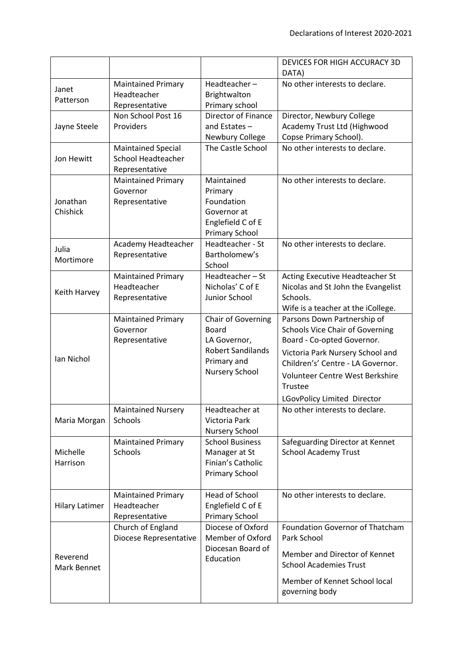|                         |                                                                   |                                                                                                                        | DEVICES FOR HIGH ACCURACY 3D<br>DATA)                                                                                                                                                                                                                     |
|-------------------------|-------------------------------------------------------------------|------------------------------------------------------------------------------------------------------------------------|-----------------------------------------------------------------------------------------------------------------------------------------------------------------------------------------------------------------------------------------------------------|
| Janet<br>Patterson      | <b>Maintained Primary</b><br>Headteacher<br>Representative        | Headteacher-<br>Brightwalton<br>Primary school                                                                         | No other interests to declare.                                                                                                                                                                                                                            |
| Jayne Steele            | Non School Post 16<br>Providers                                   | Director of Finance<br>and Estates $-$<br>Newbury College                                                              | Director, Newbury College<br>Academy Trust Ltd (Highwood<br>Copse Primary School).                                                                                                                                                                        |
| Jon Hewitt              | <b>Maintained Special</b><br>School Headteacher<br>Representative | The Castle School                                                                                                      | No other interests to declare.                                                                                                                                                                                                                            |
| Jonathan<br>Chishick    | <b>Maintained Primary</b><br>Governor<br>Representative           | Maintained<br>Primary<br>Foundation<br>Governor at<br>Englefield C of E<br><b>Primary School</b>                       | No other interests to declare.                                                                                                                                                                                                                            |
| Julia<br>Mortimore      | Academy Headteacher<br>Representative                             | Headteacher - St<br>Bartholomew's<br>School                                                                            | No other interests to declare.                                                                                                                                                                                                                            |
| Keith Harvey            | <b>Maintained Primary</b><br>Headteacher<br>Representative        | Headteacher-St<br>Nicholas' C of E<br>Junior School                                                                    | Acting Executive Headteacher St<br>Nicolas and St John the Evangelist<br>Schools.<br>Wife is a teacher at the iCollege.                                                                                                                                   |
| Ian Nichol              | <b>Maintained Primary</b><br>Governor<br>Representative           | Chair of Governing<br><b>Board</b><br>LA Governor,<br><b>Robert Sandilands</b><br>Primary and<br><b>Nursery School</b> | Parsons Down Partnership of<br><b>Schools Vice Chair of Governing</b><br>Board - Co-opted Governor.<br>Victoria Park Nursery School and<br>Children's' Centre - LA Governor.<br>Volunteer Centre West Berkshire<br>Trustee<br>LGovPolicy Limited Director |
| Maria Morgan            | <b>Maintained Nursery</b><br>Schools                              | Headteacher at<br>Victoria Park<br>Nursery School                                                                      | No other interests to declare.                                                                                                                                                                                                                            |
| Michelle<br>Harrison    | <b>Maintained Primary</b><br>Schools                              | <b>School Business</b><br>Manager at St<br>Finian's Catholic<br><b>Primary School</b>                                  | Safeguarding Director at Kennet<br><b>School Academy Trust</b>                                                                                                                                                                                            |
| <b>Hilary Latimer</b>   | <b>Maintained Primary</b><br>Headteacher<br>Representative        | <b>Head of School</b><br>Englefield C of E<br><b>Primary School</b>                                                    | No other interests to declare.                                                                                                                                                                                                                            |
| Reverend<br>Mark Bennet | Church of England<br>Diocese Representative                       | Diocese of Oxford<br>Member of Oxford<br>Diocesan Board of<br>Education                                                | <b>Foundation Governor of Thatcham</b><br>Park School<br>Member and Director of Kennet<br><b>School Academies Trust</b><br>Member of Kennet School local<br>governing body                                                                                |